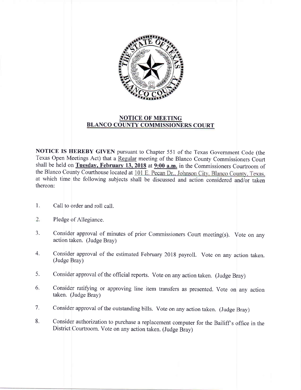

## NOTICE OF MEETING BLANCO COUNTY COMMISSIONERS COURT

NOTICE IS HEREBY GIVEN pursuant to Chapter 551 of the Texas Government Code (the Texas Open Meetings Act) that a Regular meeting of the Blanco County Commissioners Court shall be held on Tuesday, February 13, 2018 at 9:00 a.m. in the Commissioners Courtroom of the Blanco County Courthouse located at 101 E. Pecan Dr., Johnson City, Blanco County, Texas, at which time the following subjects shall be discussed and action considered and/or taken thereon:

- 1. Call to order and roll call.
- $2.$ Pledge of Allegiance.
- Consider approval of minutes of prior Commissioners Court meeting(s). Vote on any action taken. (Judge Bray) a J.
- Consider approval of the estimated February 2018 payroll. Vote on any action taken. (Judge Bray) 4.
- Consider approval of the official reports. vote on any action taken. (Judge Bray) 5.
- Consider ratifying or approving line item transfers as presented. Vote on any action taken. (Judge Bray) 6.
- Consider approval of the outstanding bills. Vote on any action taken. (Judge Bray) 7.
- Consider authorization to purchase a replacement computer for the Bailiff s office in the District Courtroom. Vote on any action taken. (Judge Bray) 8.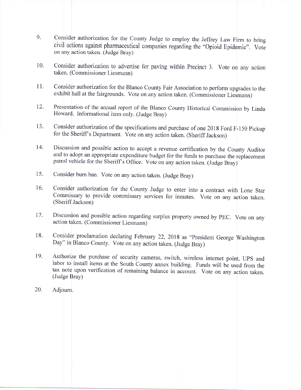- 9. Consider authorization for the County Judge to employ the Jeffrey Law Firm to bring civil actions against pharmaceutical companies regarding the "Opioid Epidemic". Vote on any action taken. (Judge Bray)
- 10, Consider authorization to advertise for paving within Precinct 3. Vote on any action taken. (Commissioner Liesmann)
- 11. Consider authorization for the Blanco County Fair Association to perform upgrades to the exhibit hall at the fairgrounds. Vote on any action taken. (Commissioner Liesmann)
- Presentation of the annual report of the Blanco County Historical Commission by Linda Howard. Informational item only. (Judge Bray) 12.
- Consider authorization of the specifrcations and purchase of one 2018 Ford F-150 pickup for the Sheriff's Department. Vote on any action taken. (Sheriff Jackson) 13.
- Discussion and possible action to accept a revenue certification by the County Auditor and to adopt an appropriate expenditure budget for the funds to purchase the replacement patrol vehicle for the Sheriff's Office. Vote on any action taken. (Judge Bray) t4.
- Consider burn ban. Vote on any action taken. (Judge Bray) 15.
- Consider authorization for the County Judge to enter into a contract with Lone Star Commissary to provide comrnissary services for inmates. Vote on any action taken. (Sheriff Jackson) 16.
- Discussion and possible action regarding surplus property owned by pEC. Vote on any action taken. (Commissioner Liesmann) 17.
- Consider proclamation declaring February 22,2018 as "President George Washington Day" in Blanco County. Vote on any action taken. (Judge Bray) 18.
- Authorize the purchase of security cameras, switch, wireless intemet point, UpS and labor to install items at the South County annex building. Funds will be used from the tax note upon verification of remaining balance in account. Vote on any action taken. (Judge Bray) 19.
- Adjourn. 20.